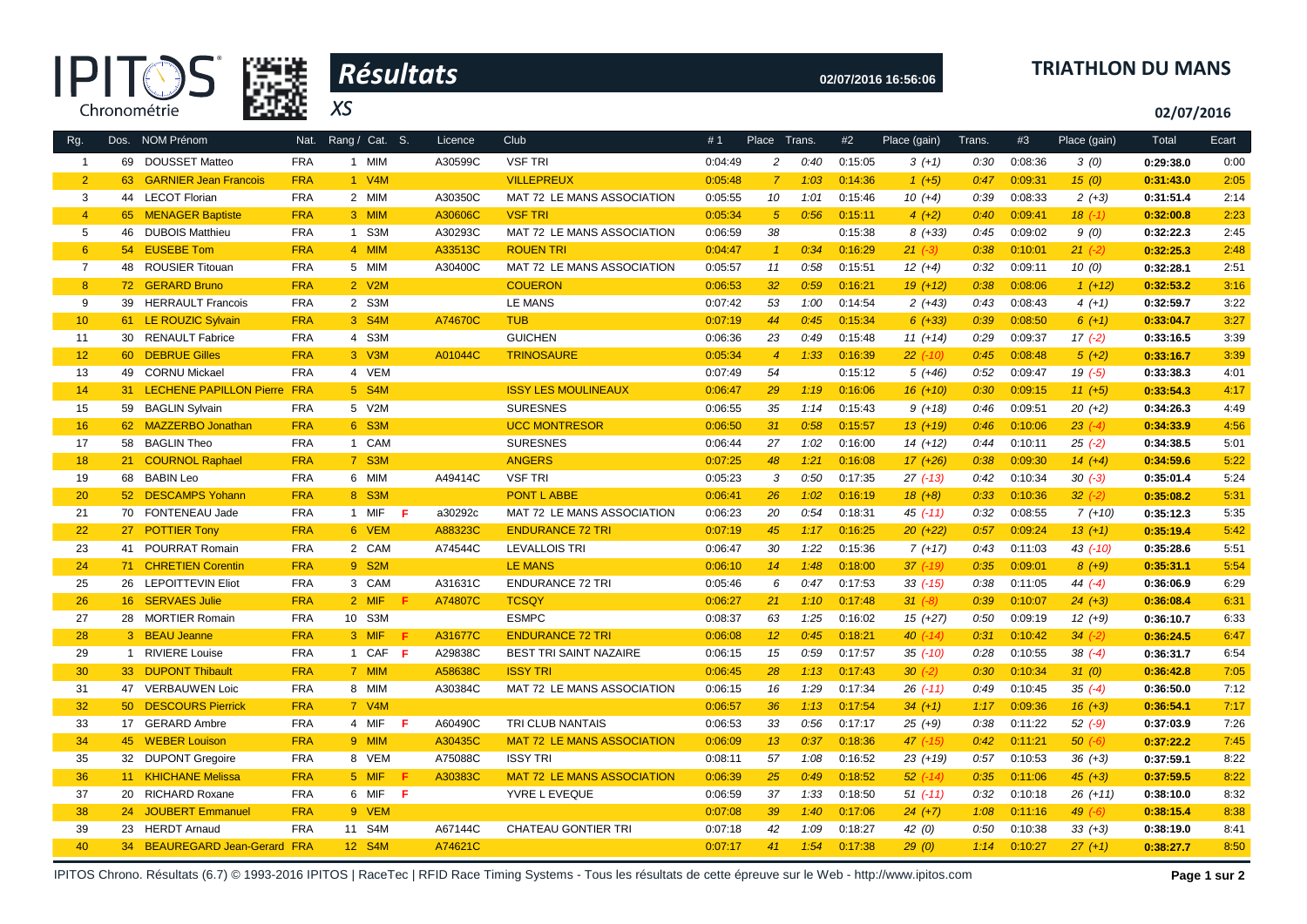



**02/07/2016 16:56:06**

## **TRIATHLON DU MANS**

**02/07/2016**

|                              | Nat.            |                                                                                                                                            | Licence        |                                   |             |                 |      |              |              | Trans.                                                                                                                                                                                                                                                                                                                                                                                                                   |         |              |              | Ecart |
|------------------------------|-----------------|--------------------------------------------------------------------------------------------------------------------------------------------|----------------|-----------------------------------|-------------|-----------------|------|--------------|--------------|--------------------------------------------------------------------------------------------------------------------------------------------------------------------------------------------------------------------------------------------------------------------------------------------------------------------------------------------------------------------------------------------------------------------------|---------|--------------|--------------|-------|
| 69 DOUSSET Matteo            | <b>FRA</b>      | 1 MIM                                                                                                                                      | A30599C        | <b>VSF TRI</b>                    | 0:04:49     | $\overline{c}$  | 0:40 |              | $3(+1)$      | 0:30                                                                                                                                                                                                                                                                                                                                                                                                                     | 0:08:36 | 3(0)         | 0:29:38.0    | 0:00  |
|                              | <b>FRA</b>      | 1 V4M                                                                                                                                      |                | <b>VILLEPREUX</b>                 | 0:05:48     | 7               | 1:03 |              | $1(+5)$      | 0:47                                                                                                                                                                                                                                                                                                                                                                                                                     | 0:09:31 | 15(0)        | 0:31:43.0    | 2:05  |
| 44 LECOT Florian             | <b>FRA</b>      | 2 MIM                                                                                                                                      | A30350C        | MAT 72 LE MANS ASSOCIATION        | 0:05:55     | 10              | 1:01 |              | $10(+4)$     | 0:39                                                                                                                                                                                                                                                                                                                                                                                                                     | 0:08:33 | $2(+3)$      | 0:31:51.4    | 2:14  |
| 65 MENAGER Baptiste          | <b>FRA</b>      | 3 MIM                                                                                                                                      | A30606C        | <b>VSF TRI</b>                    | 0:05:34     | $\sqrt{5}$      | 0:56 |              | $4(+2)$      | 0:40                                                                                                                                                                                                                                                                                                                                                                                                                     | 0:09:41 | $18$ $(-1)$  | 0:32:00.8    | 2:23  |
| <b>DUBOIS Matthieu</b><br>46 | <b>FRA</b>      | 1 S3M                                                                                                                                      | A30293C        | MAT 72 LE MANS ASSOCIATION        | 0:06:59     | 38              |      |              | $8(+33)$     | 0:45                                                                                                                                                                                                                                                                                                                                                                                                                     | 0:09:02 | 9(0)         | 0:32:22.3    | 2:45  |
| 54 EUSEBE Tom                | <b>FRA</b>      | 4 MIM                                                                                                                                      | A33513C        | <b>ROUEN TRI</b>                  | 0:04:47     | $\overline{1}$  | 0:34 |              | $21 (-3)$    | 0:38                                                                                                                                                                                                                                                                                                                                                                                                                     | 0:10:01 | $21 (-2)$    | 0:32:25.3    | 2:48  |
| 48 ROUSIER Titouan           | <b>FRA</b>      | 5 MIM                                                                                                                                      | A30400C        | MAT 72 LE MANS ASSOCIATION        | 0:05:57     | 11              | 0:58 | 0:15:51      | $12(+4)$     | 0:32                                                                                                                                                                                                                                                                                                                                                                                                                     | 0:09:11 | 10(0)        | 0:32:28.1    | 2:51  |
| 72 GERARD Bruno              | <b>FRA</b>      | 2 V2M                                                                                                                                      |                | <b>COUERON</b>                    | 0:06:53     | 32 <sup>°</sup> | 0:59 | 0:16:21      | $19(+12)$    | 0:38                                                                                                                                                                                                                                                                                                                                                                                                                     | 0:08:06 | $1(+12)$     | 0:32:53.2    | 3:16  |
| 39 HERRAULT Francois         | <b>FRA</b>      | 2 S3M                                                                                                                                      |                | LE MANS                           | 0:07:42     | 53              | 1:00 |              | $2(+43)$     | 0:43                                                                                                                                                                                                                                                                                                                                                                                                                     | 0:08:43 | $4(+1)$      | 0:32:59.7    | 3:22  |
| 61 LE ROUZIC Sylvain         | <b>FRA</b>      | 3 S4M                                                                                                                                      | A74670C        | <b>TUB</b>                        | 0:07:19     | 44              | 0:45 |              | $6 (+33)$    | 0:39                                                                                                                                                                                                                                                                                                                                                                                                                     | 0:08:50 | $6(+1)$      | 0:33:04.7    | 3:27  |
| 30 RENAULT Fabrice           | <b>FRA</b>      | 4 S3M                                                                                                                                      |                | <b>GUICHEN</b>                    | 0:06:36     | 23              | 0:49 |              | $11 (+14)$   | 0:29                                                                                                                                                                                                                                                                                                                                                                                                                     | 0:09:37 | $17(-2)$     | 0:33:16.5    | 3:39  |
| 60 DEBRUE Gilles             | <b>FRA</b>      | 3 V3M                                                                                                                                      | A01044C        | <b>TRINOSAURE</b>                 | 0:05:34     | $\overline{4}$  | 1:33 |              | $22$ (-10)   | 0:45                                                                                                                                                                                                                                                                                                                                                                                                                     | 0:08:48 | $5(+2)$      | 0:33:16.7    | 3:39  |
| 49 CORNU Mickael             | <b>FRA</b>      | 4 VEM                                                                                                                                      |                |                                   | 0:07:49     | 54              |      |              | $5(+46)$     | 0:52                                                                                                                                                                                                                                                                                                                                                                                                                     | 0:09:47 | $19( -5)$    | 0:33:38.3    | 4:01  |
|                              |                 | 5 S4M                                                                                                                                      |                | <b>ISSY LES MOULINEAUX</b>        | 0:06:47     | 29              | 1:19 |              | $16(+10)$    | 0:30                                                                                                                                                                                                                                                                                                                                                                                                                     | 0:09:15 | $11 (+5)$    | 0:33:54.3    | 4:17  |
| 59 BAGLIN Sylvain            | <b>FRA</b>      | 5 V2M                                                                                                                                      |                | <b>SURESNES</b>                   | 0:06:55     | 35              | 1:14 |              | $9(+18)$     | 0:46                                                                                                                                                                                                                                                                                                                                                                                                                     | 0:09:51 | $20(+2)$     | 0:34:26.3    | 4:49  |
|                              | <b>FRA</b>      | 6 S3M                                                                                                                                      |                | <b>UCC MONTRESOR</b>              | 0:06:50     | 31              | 0:58 |              | $13(+19)$    | 0:46                                                                                                                                                                                                                                                                                                                                                                                                                     | 0:10:06 | $23(-4)$     | 0:34:33.9    | 4:56  |
| 58 BAGLIN Theo               | <b>FRA</b>      | 1 CAM                                                                                                                                      |                | <b>SURESNES</b>                   | 0:06:44     | 27              | 1:02 |              | $14(+12)$    | 0:44                                                                                                                                                                                                                                                                                                                                                                                                                     | 0:10:11 | $25( -2)$    | 0:34:38.5    | 5:01  |
| 21 COURNOL Raphael           | <b>FRA</b>      | 7 S3M                                                                                                                                      |                | <b>ANGERS</b>                     | 0:07:25     | 48              | 1:21 |              | $17(+26)$    | 0:38                                                                                                                                                                                                                                                                                                                                                                                                                     | 0:09:30 | $14 (+4)$    | 0:34:59.6    | 5:22  |
| 68 BABIN Leo                 | <b>FRA</b>      | 6 MIM                                                                                                                                      | A49414C        | <b>VSF TRI</b>                    | 0:05:23     | 3               | 0:50 |              | $27$ (-13)   | 0:42                                                                                                                                                                                                                                                                                                                                                                                                                     | 0:10:34 | $30(-3)$     | 0:35:01.4    | 5:24  |
| 52 DESCAMPS Yohann           | <b>FRA</b>      | 8 S3M                                                                                                                                      |                | <b>PONT L ABBE</b>                | 0:06:41     | 26              | 1:02 |              | $18 (+8)$    | 0:33                                                                                                                                                                                                                                                                                                                                                                                                                     | 0:10:36 | $32 (-2)$    | 0:35:08.2    | 5:31  |
| 70 FONTENEAU Jade            | <b>FRA</b>      | 1 MIF<br>F                                                                                                                                 | a30292c        | MAT 72 LE MANS ASSOCIATION        | 0:06:23     | 20              | 0:54 | 0:18:31      | $45$ (-11)   | 0:32                                                                                                                                                                                                                                                                                                                                                                                                                     | 0:08:55 | $7(+10)$     | 0:35:12.3    | 5:35  |
| 27 POTTIER Tony              | <b>FRA</b>      | 6 VEM                                                                                                                                      | A88323C        | <b>ENDURANCE 72 TRI</b>           | 0:07:19     | 45              | 1:17 |              | $20(+22)$    | 0:57                                                                                                                                                                                                                                                                                                                                                                                                                     | 0:09:24 | $13(+1)$     | 0:35:19.4    | 5:42  |
| 41 POURRAT Romain            | <b>FRA</b>      | 2 CAM                                                                                                                                      | A74544C        | <b>LEVALLOIS TRI</b>              | 0:06:47     | 30              | 1:22 |              | $7(+17)$     | 0:43                                                                                                                                                                                                                                                                                                                                                                                                                     | 0:11:03 | $43$ $(-10)$ | 0:35:28.6    | 5:51  |
| 71 CHRETIEN Corentin         | <b>FRA</b>      | 9 S2M                                                                                                                                      |                | <b>LE MANS</b>                    | 0:06:10     | 14              | 1:48 |              | $37$ $(-19)$ | 0:35                                                                                                                                                                                                                                                                                                                                                                                                                     | 0:09:01 | $8(+9)$      | 0:35:31.1    | 5:54  |
| 26 LEPOITTEVIN Eliot         | <b>FRA</b>      | 3 CAM                                                                                                                                      | A31631C        | <b>ENDURANCE 72 TRI</b>           | 0:05:46     | 6               | 0:47 |              | $33$ (-15)   | 0:38                                                                                                                                                                                                                                                                                                                                                                                                                     | 0:11:05 | 44 $(-4)$    | 0:36:06.9    | 6:29  |
| 16 SERVAES Julie             | <b>FRA</b>      | 2 MIF<br>Æ                                                                                                                                 | A74807C        | <b>TCSQY</b>                      | 0:06:27     | 21              | 1:10 |              | $31 (-8)$    | 0:39                                                                                                                                                                                                                                                                                                                                                                                                                     | 0:10:07 | $24 (+3)$    | 0:36:08.4    | 6:31  |
| 28 MORTIER Romain            | <b>FRA</b>      | 10 S3M                                                                                                                                     |                | <b>ESMPC</b>                      | 0:08:37     | 63              | 1:25 |              | $15(+27)$    | 0:50                                                                                                                                                                                                                                                                                                                                                                                                                     | 0:09:19 | $12(+9)$     | 0:36:10.7    | 6:33  |
| 3 BEAU Jeanne                | <b>FRA</b>      | 3 MIF<br>Æ                                                                                                                                 | A31677C        | <b>ENDURANCE 72 TRI</b>           | 0:06:08     | 12 <sup>2</sup> | 0:45 | 0:18:21      | $40$ $(-14)$ | 0:31                                                                                                                                                                                                                                                                                                                                                                                                                     | 0:10:42 | $34 (-2)$    | 0:36:24.5    | 6:47  |
| 1 RIVIERE Louise             | <b>FRA</b>      | 1 CAF F                                                                                                                                    | A29838C        | BEST TRI SAINT NAZAIRE            | 0:06:15     | 15              | 0:59 |              | $35$ $(-10)$ | 0:28                                                                                                                                                                                                                                                                                                                                                                                                                     | 0:10:55 | $38(-4)$     | 0:36:31.7    | 6:54  |
| 33 DUPONT Thibault           | <b>FRA</b>      | 7 MIM                                                                                                                                      | A58638C        | <b>ISSY TRI</b>                   | 0:06:45     | 28              | 1:13 |              | $30(-2)$     | 0:30                                                                                                                                                                                                                                                                                                                                                                                                                     | 0:10:34 | 31(0)        | 0:36:42.8    | 7:05  |
| 47 VERBAUWEN Loic            | <b>FRA</b>      | 8 MIM                                                                                                                                      | A30384C        | MAT 72 LE MANS ASSOCIATION        | 0:06:15     | 16              | 1:29 |              | $26$ $(-11)$ | 0:49                                                                                                                                                                                                                                                                                                                                                                                                                     | 0:10:45 | $35(-4)$     | 0:36:50.0    | 7:12  |
| 50 DESCOURS Pierrick         | <b>FRA</b>      | 7 V4M                                                                                                                                      |                |                                   | 0:06:57     | 36              | 1:13 |              | $34 (+1)$    | 1:17                                                                                                                                                                                                                                                                                                                                                                                                                     | 0:09:36 | $16 (+3)$    | 0:36:54.1    | 7:17  |
| 17 GERARD Ambre              | <b>FRA</b>      | 4 MIF<br>-F                                                                                                                                | A60490C        | TRI CLUB NANTAIS                  | 0:06:53     | 33              | 0:56 |              | $25(+9)$     | 0:38                                                                                                                                                                                                                                                                                                                                                                                                                     | 0:11:22 | $52 (-9)$    | 0:37:03.9    | 7:26  |
| 45 WEBER Louison             | <b>FRA</b>      | 9 MIM                                                                                                                                      | A30435C        | <b>MAT 72 LE MANS ASSOCIATION</b> | 0:06:09     | 13              | 0:37 |              | $47$ (-15)   | 0:42                                                                                                                                                                                                                                                                                                                                                                                                                     | 0:11:21 | $50(-6)$     | 0:37:22.2    | 7:45  |
| 32 DUPONT Gregoire           | <b>FRA</b>      | 8 VEM                                                                                                                                      | A75088C        | <b>ISSY TRI</b>                   | 0:08:11     | 57              | 1:08 |              | $23(+19)$    | 0:57                                                                                                                                                                                                                                                                                                                                                                                                                     | 0:10:53 | $36 (+3)$    | 0:37:59.1    | 8:22  |
| 11 KHICHANE Melissa          | <b>FRA</b>      | 5 MIF<br>F                                                                                                                                 | A30383C        | <b>MAT 72 LE MANS ASSOCIATION</b> | 0:06:39     | 25              | 0:49 |              | $52$ $(-14)$ | 0:35                                                                                                                                                                                                                                                                                                                                                                                                                     | 0:11:06 | $45 (+3)$    | 0:37:59.5    | 8:22  |
| 20 RICHARD Roxane            | <b>FRA</b>      | 6 MIF<br>F                                                                                                                                 |                | YVRE L EVEQUE                     | 0:06:59     | 37              | 1:33 |              | $51 (-11)$   | 0:32                                                                                                                                                                                                                                                                                                                                                                                                                     | 0:10:18 | $26(+11)$    | 0:38:10.0    | 8:32  |
|                              | <b>FRA</b>      | 9 VEM                                                                                                                                      |                |                                   | 0:07:08     | 39              | 1:40 |              | $24 (+7)$    | 1:08                                                                                                                                                                                                                                                                                                                                                                                                                     | 0:11:16 | 49 $(-6)$    | 0:38:15.4    | 8:38  |
| 23 HERDT Arnaud              | <b>FRA</b>      | 11 S4M                                                                                                                                     | A67144C        | <b>CHATEAU GONTIER TRI</b>        | 0:07:18     | 42              | 1:09 |              | 42 $(0)$     | 0:50                                                                                                                                                                                                                                                                                                                                                                                                                     | 0:10:38 | $33 (+3)$    | 0:38:19.0    | 8:41  |
|                              |                 | 12 S4M                                                                                                                                     | A74621C        |                                   | 0:07:17     | 41              | 1:54 |              | 29(0)        | 1:14                                                                                                                                                                                                                                                                                                                                                                                                                     | 0:10:27 | $27(+1)$     | 0:38:27.7    | 8:50  |
|                              | Dos. NOM Prénom | 63 GARNIER Jean Francois<br>31 LECHENE PAPILLON Pierre FRA<br>62 MAZZERBO Jonathan<br>24 JOUBERT Emmanuel<br>34 BEAUREGARD Jean-Gerard FRA | Rang / Cat. S. |                                   | <b>Club</b> | #1              |      | Place Trans. | #2           | Place (gain)<br>0:15:05<br>0:14:36<br>0:15:46<br>0:15:11<br>0:15:38<br>0:16:29<br>0:14:54<br>0:15:34<br>0:15:48<br>0:16:39<br>0:15:12<br>0:16:06<br>0:15:43<br>0:15:57<br>0:16:00<br>0:16:08<br>0:17:35<br>0:16:19<br>0:16:25<br>0:15:36<br>0:18:00<br>0:17:53<br>0:17:48<br>0:16:02<br>0:17:57<br>0:17:43<br>0:17:34<br>0:17:54<br>0:17:17<br>0:18:36<br>0:16:52<br>0:18:52<br>0:18:50<br>0:17:06<br>0:18:27<br>0:17:38 |         | #3           | Place (gain) | Total |

IPITOS Chrono. Résultats (6.7) © 1993-2016 IPITOS | RaceTec | RFID Race Timing Systems - Tous les résultats de cette épreuve sur le Web - http://www.ipitos.com **Page 1 sur 2**